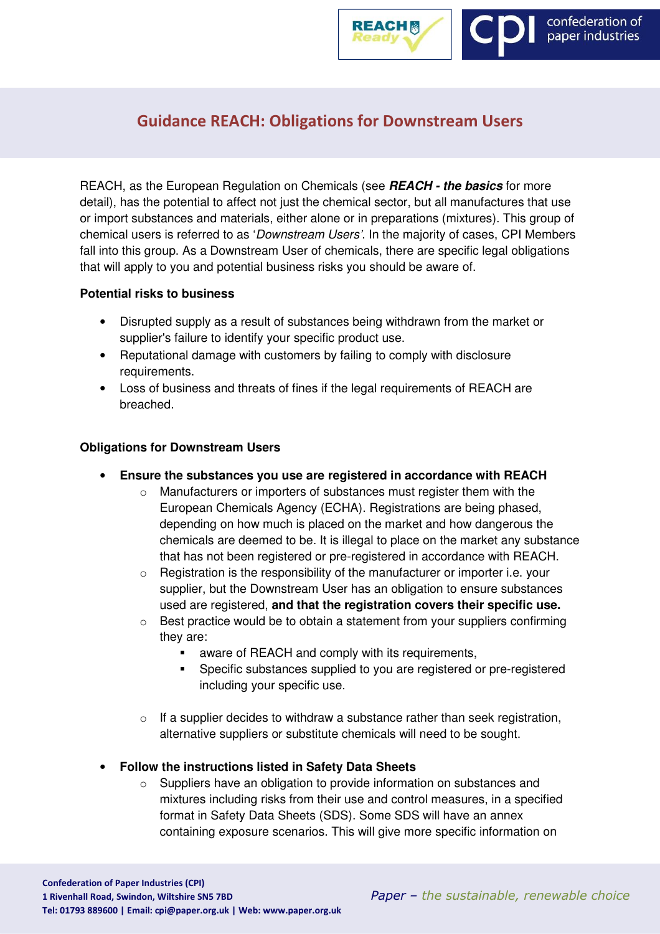

# Guidance REACH: Obligations for Downstream Users

REACH, as the European Regulation on Chemicals (see **REACH - the basics** for more detail), has the potential to affect not just the chemical sector, but all manufactures that use or import substances and materials, either alone or in preparations (mixtures). This group of chemical users is referred to as 'Downstream Users'. In the majority of cases, CPI Members fall into this group. As a Downstream User of chemicals, there are specific legal obligations that will apply to you and potential business risks you should be aware of.

## **Potential risks to business**

- Disrupted supply as a result of substances being withdrawn from the market or supplier's failure to identify your specific product use.
- Reputational damage with customers by failing to comply with disclosure requirements.
- Loss of business and threats of fines if the legal requirements of REACH are breached.

#### **Obligations for Downstream Users**

- **Ensure the substances you use are registered in accordance with REACH** 
	- Manufacturers or importers of substances must register them with the European Chemicals Agency (ECHA). Registrations are being phased, depending on how much is placed on the market and how dangerous the chemicals are deemed to be. It is illegal to place on the market any substance that has not been registered or pre-registered in accordance with REACH.
	- o Registration is the responsibility of the manufacturer or importer i.e. your supplier, but the Downstream User has an obligation to ensure substances used are registered, **and that the registration covers their specific use.**
	- $\circ$  Best practice would be to obtain a statement from your suppliers confirming they are:
		- aware of REACH and comply with its requirements.
		- **Specific substances supplied to you are registered or pre-registered** including your specific use.
	- o If a supplier decides to withdraw a substance rather than seek registration, alternative suppliers or substitute chemicals will need to be sought.
- **Follow the instructions listed in Safety Data Sheets** 
	- o Suppliers have an obligation to provide information on substances and mixtures including risks from their use and control measures, in a specified format in Safety Data Sheets (SDS). Some SDS will have an annex containing exposure scenarios. This will give more specific information on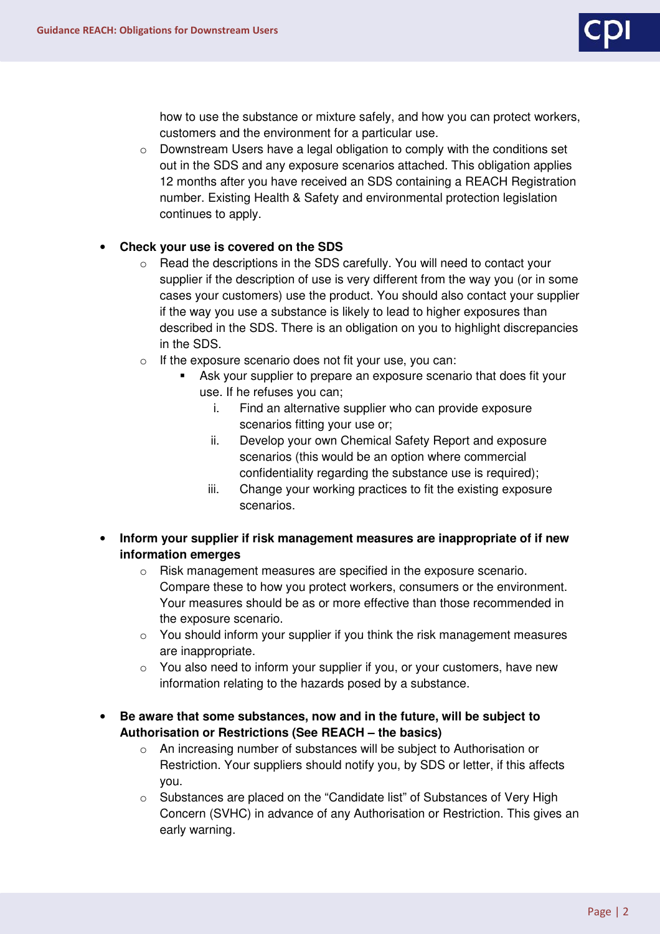

how to use the substance or mixture safely, and how you can protect workers, customers and the environment for a particular use.

 $\circ$  Downstream Users have a legal obligation to comply with the conditions set out in the SDS and any exposure scenarios attached. This obligation applies 12 months after you have received an SDS containing a REACH Registration number. Existing Health & Safety and environmental protection legislation continues to apply.

## • **Check your use is covered on the SDS**

- $\circ$  Read the descriptions in the SDS carefully. You will need to contact your supplier if the description of use is very different from the way you (or in some cases your customers) use the product. You should also contact your supplier if the way you use a substance is likely to lead to higher exposures than described in the SDS. There is an obligation on you to highlight discrepancies in the SDS.
- o If the exposure scenario does not fit your use, you can:
	- Ask your supplier to prepare an exposure scenario that does fit your use. If he refuses you can;
		- i. Find an alternative supplier who can provide exposure scenarios fitting your use or;
		- ii. Develop your own Chemical Safety Report and exposure scenarios (this would be an option where commercial confidentiality regarding the substance use is required);
		- iii. Change your working practices to fit the existing exposure scenarios.
- **Inform your supplier if risk management measures are inappropriate of if new information emerges** 
	- o Risk management measures are specified in the exposure scenario. Compare these to how you protect workers, consumers or the environment. Your measures should be as or more effective than those recommended in the exposure scenario.
	- $\circ$  You should inform your supplier if you think the risk management measures are inappropriate.
	- $\circ$  You also need to inform your supplier if you, or your customers, have new information relating to the hazards posed by a substance.
- **Be aware that some substances, now and in the future, will be subject to Authorisation or Restrictions (See REACH – the basics)** 
	- o An increasing number of substances will be subject to Authorisation or Restriction. Your suppliers should notify you, by SDS or letter, if this affects you.
	- o Substances are placed on the "Candidate list" of Substances of Very High Concern (SVHC) in advance of any Authorisation or Restriction. This gives an early warning.